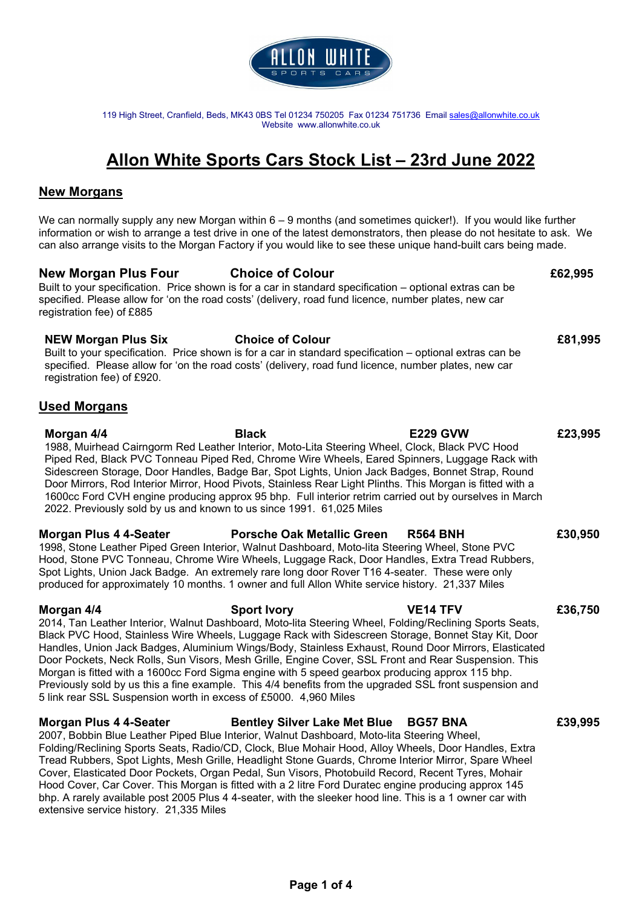

119 High Street, Cranfield, Beds, MK43 0BS Tel 01234 750205 Fax 01234 751736 Email sales@allonwhite.co.uk Website www.allonwhite.co.uk

# Allon White Sports Cars Stock List – 23rd June 2022

### New Morgans

We can normally supply any new Morgan within 6 – 9 months (and sometimes quicker!). If you would like further information or wish to arrange a test drive in one of the latest demonstrators, then please do not hesitate to ask. We can also arrange visits to the Morgan Factory if you would like to see these unique hand-built cars being made.

### New Morgan Plus Four Choice of Colour **E**62,995

Built to your specification. Price shown is for a car in standard specification – optional extras can be specified. Please allow for 'on the road costs' (delivery, road fund licence, number plates, new car registration fee) of £885

### NEW Morgan Plus Six **Choice of Colour Example 2016** 2016

Built to your specification. Price shown is for a car in standard specification – optional extras can be specified. Please allow for 'on the road costs' (delivery, road fund licence, number plates, new car registration fee) of £920.

## Used Morgans

Morgan 4/4 Black E229 GVW £23,995 1988, Muirhead Cairngorm Red Leather Interior, Moto-Lita Steering Wheel, Clock, Black PVC Hood Piped Red, Black PVC Tonneau Piped Red, Chrome Wire Wheels, Eared Spinners, Luggage Rack with Sidescreen Storage, Door Handles, Badge Bar, Spot Lights, Union Jack Badges, Bonnet Strap, Round Door Mirrors, Rod Interior Mirror, Hood Pivots, Stainless Rear Light Plinths. This Morgan is fitted with a 1600cc Ford CVH engine producing approx 95 bhp. Full interior retrim carried out by ourselves in March 2022. Previously sold by us and known to us since 1991. 61,025 Miles

### Morgan Plus 4 4-Seater Porsche Oak Metallic Green R564 BNH £30,950 1998, Stone Leather Piped Green Interior, Walnut Dashboard, Moto-lita Steering Wheel, Stone PVC Hood, Stone PVC Tonneau, Chrome Wire Wheels, Luggage Rack, Door Handles, Extra Tread Rubbers, Spot Lights, Union Jack Badge. An extremely rare long door Rover T16 4-seater. These were only produced for approximately 10 months. 1 owner and full Allon White service history. 21,337 Miles

Morgan 4/4 **Sport Ivory 19 Sexual Sexual Act ACT** VE14 TFV 636,750 2014, Tan Leather Interior, Walnut Dashboard, Moto-lita Steering Wheel, Folding/Reclining Sports Seats, Black PVC Hood, Stainless Wire Wheels, Luggage Rack with Sidescreen Storage, Bonnet Stay Kit, Door Handles, Union Jack Badges, Aluminium Wings/Body, Stainless Exhaust, Round Door Mirrors, Elasticated Door Pockets, Neck Rolls, Sun Visors, Mesh Grille, Engine Cover, SSL Front and Rear Suspension. This Morgan is fitted with a 1600cc Ford Sigma engine with 5 speed gearbox producing approx 115 bhp. Previously sold by us this a fine example. This 4/4 benefits from the upgraded SSL front suspension and 5 link rear SSL Suspension worth in excess of £5000. 4,960 Miles

### Morgan Plus 4 4-Seater **Bentley Silver Lake Met Blue BG57 BNA** £39,995

2007, Bobbin Blue Leather Piped Blue Interior, Walnut Dashboard, Moto-lita Steering Wheel, Folding/Reclining Sports Seats, Radio/CD, Clock, Blue Mohair Hood, Alloy Wheels, Door Handles, Extra Tread Rubbers, Spot Lights, Mesh Grille, Headlight Stone Guards, Chrome Interior Mirror, Spare Wheel Cover, Elasticated Door Pockets, Organ Pedal, Sun Visors, Photobuild Record, Recent Tyres, Mohair Hood Cover, Car Cover. This Morgan is fitted with a 2 litre Ford Duratec engine producing approx 145 bhp. A rarely available post 2005 Plus 4 4-seater, with the sleeker hood line. This is a 1 owner car with extensive service history. 21,335 Miles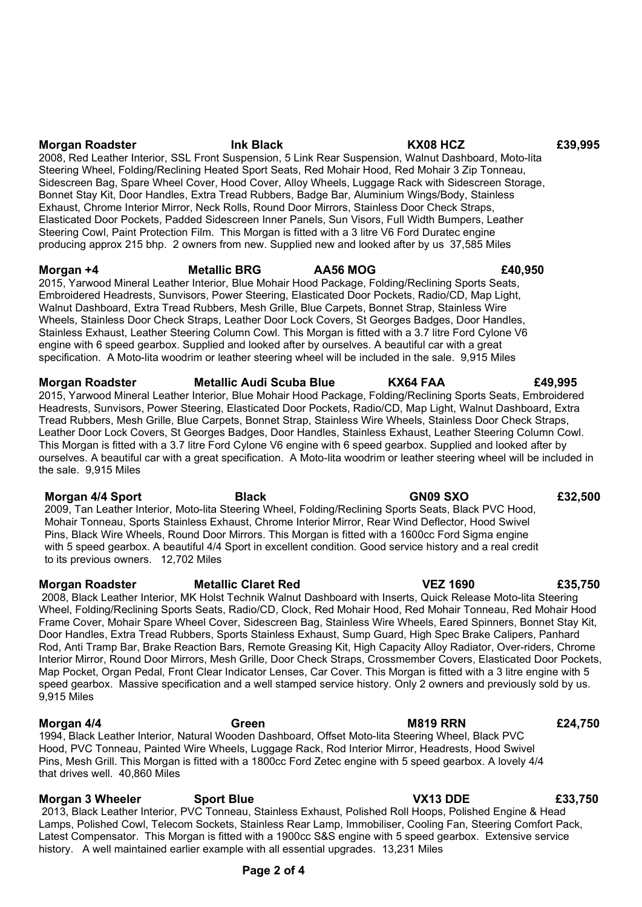# Morgan Roadster Ink Black KX08 HCZ £39,995

2008, Red Leather Interior, SSL Front Suspension, 5 Link Rear Suspension, Walnut Dashboard, Moto-lita Steering Wheel, Folding/Reclining Heated Sport Seats, Red Mohair Hood, Red Mohair 3 Zip Tonneau, Sidescreen Bag, Spare Wheel Cover, Hood Cover, Alloy Wheels, Luggage Rack with Sidescreen Storage, Bonnet Stay Kit, Door Handles, Extra Tread Rubbers, Badge Bar, Aluminium Wings/Body, Stainless Exhaust, Chrome Interior Mirror, Neck Rolls, Round Door Mirrors, Stainless Door Check Straps, Elasticated Door Pockets, Padded Sidescreen Inner Panels, Sun Visors, Full Width Bumpers, Leather Steering Cowl, Paint Protection Film. This Morgan is fitted with a 3 litre V6 Ford Duratec engine producing approx 215 bhp. 2 owners from new. Supplied new and looked after by us 37,585 Miles

# Morgan +4 Metallic BRG AA56 MOG £40,950

2015, Yarwood Mineral Leather Interior, Blue Mohair Hood Package, Folding/Reclining Sports Seats, Embroidered Headrests, Sunvisors, Power Steering, Elasticated Door Pockets, Radio/CD, Map Light, Walnut Dashboard, Extra Tread Rubbers, Mesh Grille, Blue Carpets, Bonnet Strap, Stainless Wire Wheels, Stainless Door Check Straps, Leather Door Lock Covers, St Georges Badges, Door Handles, Stainless Exhaust, Leather Steering Column Cowl. This Morgan is fitted with a 3.7 litre Ford Cylone V6 engine with 6 speed gearbox. Supplied and looked after by ourselves. A beautiful car with a great specification. A Moto-lita woodrim or leather steering wheel will be included in the sale. 9,915 Miles

Morgan Roadster Metallic Audi Scuba Blue KX64 FAA £49,995 2015, Yarwood Mineral Leather Interior, Blue Mohair Hood Package, Folding/Reclining Sports Seats, Embroidered Headrests, Sunvisors, Power Steering, Elasticated Door Pockets, Radio/CD, Map Light, Walnut Dashboard, Extra Tread Rubbers, Mesh Grille, Blue Carpets, Bonnet Strap, Stainless Wire Wheels, Stainless Door Check Straps, Leather Door Lock Covers, St Georges Badges, Door Handles, Stainless Exhaust, Leather Steering Column Cowl. This Morgan is fitted with a 3.7 litre Ford Cylone V6 engine with 6 speed gearbox. Supplied and looked after by ourselves. A beautiful car with a great specification. A Moto-lita woodrim or leather steering wheel will be included in the sale. 9,915 Miles

Morgan 4/4 Sport Black Black GN09 SXO £32,500 2009, Tan Leather Interior, Moto-lita Steering Wheel, Folding/Reclining Sports Seats, Black PVC Hood, Mohair Tonneau, Sports Stainless Exhaust, Chrome Interior Mirror, Rear Wind Deflector, Hood Swivel Pins, Black Wire Wheels, Round Door Mirrors. This Morgan is fitted with a 1600cc Ford Sigma engine with 5 speed gearbox. A beautiful 4/4 Sport in excellent condition. Good service history and a real credit to its previous owners. 12,702 Miles

Morgan Roadster Metallic Claret Red VEZ 1690 E35,750 2008, Black Leather Interior, MK Holst Technik Walnut Dashboard with Inserts, Quick Release Moto-lita Steering Wheel, Folding/Reclining Sports Seats, Radio/CD, Clock, Red Mohair Hood, Red Mohair Tonneau, Red Mohair Hood Frame Cover, Mohair Spare Wheel Cover, Sidescreen Bag, Stainless Wire Wheels, Eared Spinners, Bonnet Stay Kit, Door Handles, Extra Tread Rubbers, Sports Stainless Exhaust, Sump Guard, High Spec Brake Calipers, Panhard Rod, Anti Tramp Bar, Brake Reaction Bars, Remote Greasing Kit, High Capacity Alloy Radiator, Over-riders, Chrome Interior Mirror, Round Door Mirrors, Mesh Grille, Door Check Straps, Crossmember Covers, Elasticated Door Pockets, Map Pocket, Organ Pedal, Front Clear Indicator Lenses, Car Cover. This Morgan is fitted with a 3 litre engine with 5 speed gearbox. Massive specification and a well stamped service history. Only 2 owners and previously sold by us. 9,915 Miles

Morgan 4/4 **Green** Green M819 RRN £24,750 1994, Black Leather Interior, Natural Wooden Dashboard, Offset Moto-lita Steering Wheel, Black PVC Hood, PVC Tonneau, Painted Wire Wheels, Luggage Rack, Rod Interior Mirror, Headrests, Hood Swivel Pins, Mesh Grill. This Morgan is fitted with a 1800cc Ford Zetec engine with 5 speed gearbox. A lovely 4/4 that drives well. 40,860 Miles

Morgan 3 Wheeler Sport Blue Sport Communication CX13 DDE E33,750 2013, Black Leather Interior, PVC Tonneau, Stainless Exhaust, Polished Roll Hoops, Polished Engine & Head Lamps, Polished Cowl, Telecom Sockets, Stainless Rear Lamp, Immobiliser, Cooling Fan, Steering Comfort Pack, Latest Compensator. This Morgan is fitted with a 1900cc S&S engine with 5 speed gearbox. Extensive service history. A well maintained earlier example with all essential upgrades. 13,231 Miles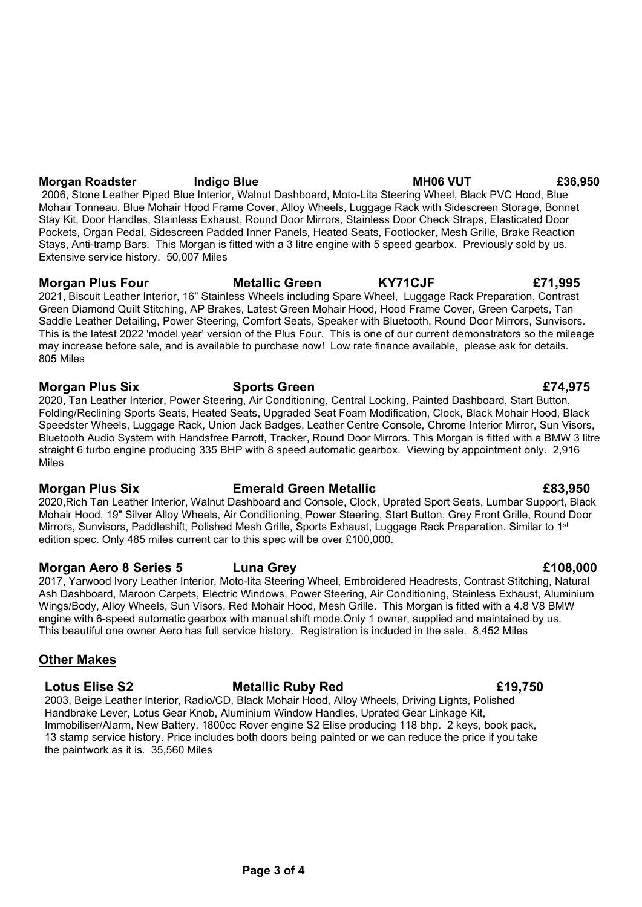## Morgan Roadster and Indigo Blue MH06 VUT E36,950

 2006, Stone Leather Piped Blue Interior, Walnut Dashboard, Moto-Lita Steering Wheel, Black PVC Hood, Blue Mohair Tonneau, Blue Mohair Hood Frame Cover, Alloy Wheels, Luggage Rack with Sidescreen Storage, Bonnet Stay Kit, Door Handles, Stainless Exhaust, Round Door Mirrors, Stainless Door Check Straps, Elasticated Door Pockets, Organ Pedal, Sidescreen Padded Inner Panels, Heated Seats, Footlocker, Mesh Grille, Brake Reaction Stays, Anti-tramp Bars. This Morgan is fitted with a 3 litre engine with 5 speed gearbox. Previously sold by us. Extensive service history. 50,007 Miles

Morgan Plus Four **Metallic Green** KY71CJF **ET1,995** 2021, Biscuit Leather Interior, 16" Stainless Wheels including Spare Wheel, Luggage Rack Preparation, Contrast Green Diamond Quilt Stitching, AP Brakes, Latest Green Mohair Hood, Hood Frame Cover, Green Carpets, Tan Saddle Leather Detailing, Power Steering, Comfort Seats, Speaker with Bluetooth, Round Door Mirrors, Sunvisors. This is the latest 2022 'model year' version of the Plus Four. This is one of our current demonstrators so the mileage may increase before sale, and is available to purchase now! Low rate finance available, please ask for details. 805 Miles

## Morgan Plus Six Sports Green **EXAGES** Sports Green **EXAGES** Sports Green **EXAGES** Sports Green **EXAGES**

2020, Tan Leather Interior, Power Steering, Air Conditioning, Central Locking, Painted Dashboard, Start Button, Folding/Reclining Sports Seats, Heated Seats, Upgraded Seat Foam Modification, Clock, Black Mohair Hood, Black Speedster Wheels, Luggage Rack, Union Jack Badges, Leather Centre Console, Chrome Interior Mirror, Sun Visors, Bluetooth Audio System with Handsfree Parrott, Tracker, Round Door Mirrors. This Morgan is fitted with a BMW 3 litre straight 6 turbo engine producing 335 BHP with 8 speed automatic gearbox. Viewing by appointment only. 2,916 Miles

2020,Rich Tan Leather Interior, Walnut Dashboard and Console, Clock, Uprated Sport Seats, Lumbar Support, Black Mohair Hood, 19" Silver Alloy Wheels, Air Conditioning, Power Steering, Start Button, Grey Front Grille, Round Door Mirrors, Sunvisors, Paddleshift, Polished Mesh Grille, Sports Exhaust, Luggage Rack Preparation. Similar to 1st edition spec. Only 485 miles current car to this spec will be over £100,000.

# Morgan Aero 8 Series 5 Luna Grey £108,000

2017, Yarwood Ivory Leather Interior, Moto-lita Steering Wheel, Embroidered Headrests, Contrast Stitching, Natural Ash Dashboard, Maroon Carpets, Electric Windows, Power Steering, Air Conditioning, Stainless Exhaust, Aluminium Wings/Body, Alloy Wheels, Sun Visors, Red Mohair Hood, Mesh Grille. This Morgan is fitted with a 4.8 V8 BMW engine with 6-speed automatic gearbox with manual shift mode.Only 1 owner, supplied and maintained by us. This beautiful one owner Aero has full service history. Registration is included in the sale. 8,452 Miles

# Other Makes

# Lotus Elise S2 **Metallic Ruby Red E19,750**

2003, Beige Leather Interior, Radio/CD, Black Mohair Hood, Alloy Wheels, Driving Lights, Polished Handbrake Lever, Lotus Gear Knob, Aluminium Window Handles, Uprated Gear Linkage Kit, Immobiliser/Alarm, New Battery. 1800cc Rover engine S2 Elise producing 118 bhp. 2 keys, book pack, 13 stamp service history. Price includes both doors being painted or we can reduce the price if you take the paintwork as it is. 35,560 Miles

# Morgan Plus Six **Emerald Green Metallic** E83,950